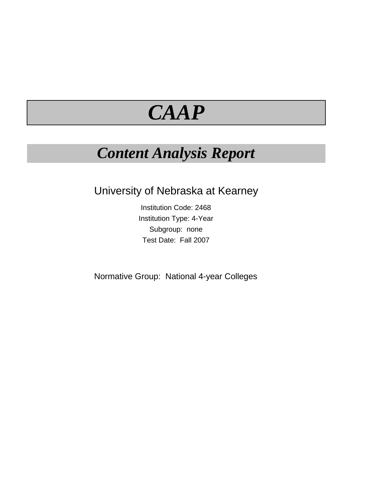# *CAAP*

### *Content Analysis Report*

University of Nebraska at Kearney

Institution Code: 2468 Institution Type: 4-Year Subgroup: none Test Date: Fall 2007

Normative Group: National 4-year Colleges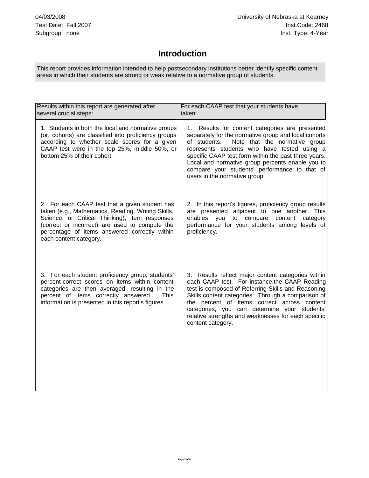### **Introduction**

 This report provides information intended to help postsecondary institutions better identify specific content areas in which their students are strong or weak relative to a normative group of students.

| Results within this report are generated after<br>several crucial steps:                                                                                                                                                                                                            | For each CAAP test that your students have<br>taken:                                                                                                                                                                                                                                                                                                                                                     |  |  |
|-------------------------------------------------------------------------------------------------------------------------------------------------------------------------------------------------------------------------------------------------------------------------------------|----------------------------------------------------------------------------------------------------------------------------------------------------------------------------------------------------------------------------------------------------------------------------------------------------------------------------------------------------------------------------------------------------------|--|--|
| 1. Students in both the local and normative groups<br>(or, cohorts) are classified into proficiency groups<br>according to whether scale scores for a given<br>CAAP test were in the top 25%, middle 50%, or<br>bottom 25% of their cohort.                                         | Results for content categories are presented<br>1.<br>separately for the normative group and local cohorts<br>Note that the normative group<br>of students.<br>represents students who have tested using a<br>specific CAAP test form within the past three years.<br>Local and normative group percents enable you to<br>compare your students' performance to that of<br>users in the normative group. |  |  |
| 2. For each CAAP test that a given student has<br>taken (e.g., Mathematics, Reading, Writing Skills,<br>Science, or Critical Thinking), item responses<br>(correct or incorrect) are used to compute the<br>percentage of items answered correctly within<br>each content category. | 2. In this report's figures, proficiency group results<br>are presented adjacent to one another. This<br>to compare content<br>enables<br>you<br>category<br>performance for your students among levels of<br>proficiency.                                                                                                                                                                               |  |  |
| 3. For each student proficiency group, students'<br>percent-correct scores on items within content<br>categories are then averaged, resulting in the<br>percent of items correctly answered.<br><b>This</b><br>information is presented in this report's figures.                   | 3. Results reflect major content categories within<br>each CAAP test. For instance, the CAAP Reading<br>test is composed of Referring Skills and Reasoning<br>Skills content categories. Through a comparison of<br>the percent of items correct across content<br>categories, you can determine your students'<br>relative strengths and weaknesses for each specific<br>content category.              |  |  |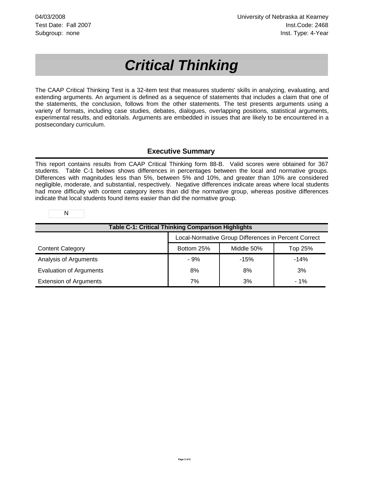## *Critical Thinking*

The CAAP Critical Thinking Test is a 32-item test that measures students' skills in analyzing, evaluating, and extending arguments. An argument is defined as a sequence of statements that includes a claim that one of the statements, the conclusion, follows from the other statements. The test presents arguments using a variety of formats, including case studies, debates, dialogues, overlapping positions, statistical arguments, experimental results, and editorials. Arguments are embedded in issues that are likely to be encountered in a postsecondary curriculum.

#### **Executive Summary**

This report contains results from CAAP Critical Thinking form 88-B. Valid scores were obtained for 367 students. Table C-1 belows shows differences in percentages between the local and normative groups. Differences with magnitudes less than 5%, between 5% and 10%, and greater than 10% are considered negligible, moderate, and substantial, respectively. Negative differences indicate areas where local students had more difficulty with content category items than did the normative group, whereas positive differences indicate that local students found items easier than did the normative group.

N

| <b>Table C-1: Critical Thinking Comparison Highlights</b> |                                                      |            |         |
|-----------------------------------------------------------|------------------------------------------------------|------------|---------|
|                                                           | Local-Normative Group Differences in Percent Correct |            |         |
| <b>Content Category</b>                                   | Bottom 25%                                           | Middle 50% | Top 25% |
| Analysis of Arguments                                     | $-9%$                                                | $-15%$     | $-14%$  |
| <b>Evaluation of Arguments</b>                            | 8%                                                   | 8%         | 3%      |
| <b>Extension of Arguments</b>                             | 7%                                                   | 3%         | $-1%$   |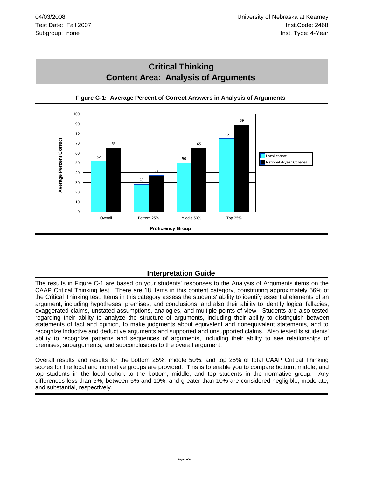



**Figure C-1: Average Percent of Correct Answers in Analysis of Arguments**

#### **Interpretation Guide**

The results in Figure C-1 are based on your students' responses to the Analysis of Arguments items on the CAAP Critical Thinking test. There are 18 items in this content category, constituting approximately 56% of the Critical Thinking test. Items in this category assess the students' ability to identify essential elements of an argument, including hypotheses, premises, and conclusions, and also their ability to identify logical fallacies, exaggerated claims, unstated assumptions, analogies, and multiple points of view. Students are also tested regarding their ability to analyze the structure of arguments, including their ability to distinguish between statements of fact and opinion, to make judgments about equivalent and nonequivalent statements, and to recognize inductive and deductive arguments and supported and unsupported claims. Also tested is students' ability to recognize patterns and sequences of arguments, including their ability to see relationships of premises, subarguments, and subconclusions to the overall argument.

Overall results and results for the bottom 25%, middle 50%, and top 25% of total CAAP Critical Thinking scores for the local and normative groups are provided. This is to enable you to compare bottom, middle, and top students in the local cohort to the bottom, middle, and top students in the normative group. Any differences less than 5%, between 5% and 10%, and greater than 10% are considered negligible, moderate, and substantial, respectively.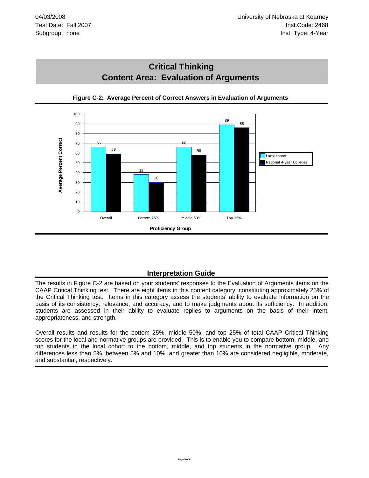



**Figure C-2: Average Percent of Correct Answers in Evaluation of Arguments**

#### **Interpretation Guide**

The results in Figure C-2 are based on your students' responses to the Evaluation of Arguments items on the CAAP Critical Thinking test. There are eight items in this content category, constituting approximately 25% of the Critical Thinking test. Items in this category assess the students' ability to evaluate information on the basis of its consistency, relevance, and accuracy, and to make judgments about its sufficiency. In addition, students are assessed in their ability to evaluate replies to arguments on the basis of their intent, appropriateness, and strength.

Overall results and results for the bottom 25%, middle 50%, and top 25% of total CAAP Critical Thinking scores for the local and normative groups are provided. This is to enable you to compare bottom, middle, and top students in the local cohort to the bottom, middle, and top students in the normative group. Any differences less than 5%, between 5% and 10%, and greater than 10% are considered negligible, moderate, and substantial, respectively.